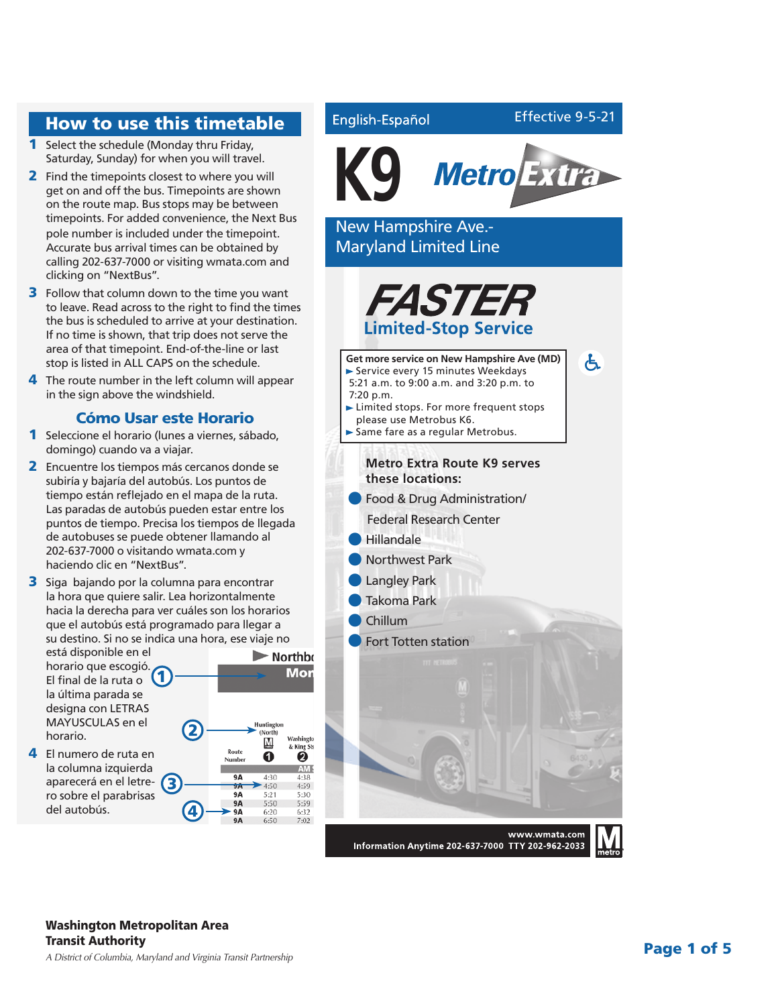### How to use this timetable

- 1 Select the schedule (Monday thru Friday, Saturday, Sunday) for when you will travel.
- 2 Find the timepoints closest to where you will get on and off the bus. Timepoints are shown on the route map. Bus stops may be between timepoints. For added convenience, the Next Bus pole number is included under the timepoint. Accurate bus arrival times can be obtained by calling 202-637-7000 or visiting wmata.com and clicking on "NextBus".
- **3** Follow that column down to the time you want to leave. Read across to the right to find the times the bus is scheduled to arrive at your destination. If no time is shown, that trip does not serve the area of that timepoint. End-of-the-line or last stop is listed in ALL CAPS on the schedule.
- 4 The route number in the left column will appear in the sign above the windshield.

### Cómo Usar este Horario

- 1 Seleccione el horario (lunes a viernes, sábado, domingo) cuando va a viajar.
- 2 Encuentre los tiempos más cercanos donde se subiría y bajaría del autobús. Los puntos de tiempo están reflejado en el mapa de la ruta. Las paradas de autobús pueden estar entre los puntos de tiempo. Precisa los tiempos de llegada de autobuses se puede obtener llamando al 202-637-7000 o visitando wmata.com y haciendo clic en "NextBus".
- **3** Siga bajando por la columna para encontrar la hora que quiere salir. Lea horizontalmente hacia la derecha para ver cuáles son los horarios que el autobús está programado para llegar a su destino. Si no se indica una hora, ese viaje no

está disponible en el esta un portura.<br>horario que escogió. El final de la ruta o la última parada se designa con LETRAS MAYUSCULAS en el horario.

4 El numero de ruta en la columna izquierda aparecerá en el letre- (3 ro sobre el parabrisas del autobús.

(North) Washingto M & King Sts Rout Ø ➊ Numbe AM S  $\overline{9A}$  $4:38$ ŜÂ  $4:50$ 4:59  $9A$  $5:2^{\circ}$  $5:30$ **9A**  $5:50$  $5:59$ **9A** 6:20 6:32

 $Q$ 

 $6:50$ 

 $7:02$ 

 $\blacktriangleright$  Northbo Mon



English-Español

Effective 9-5-21

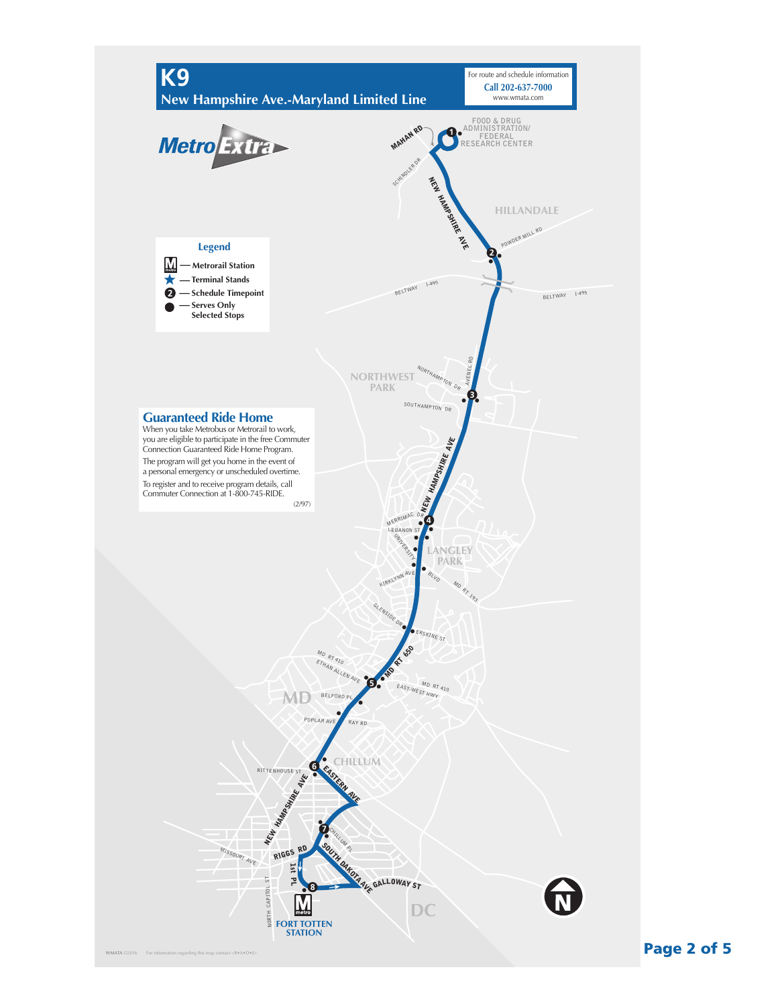

Page 2 of 5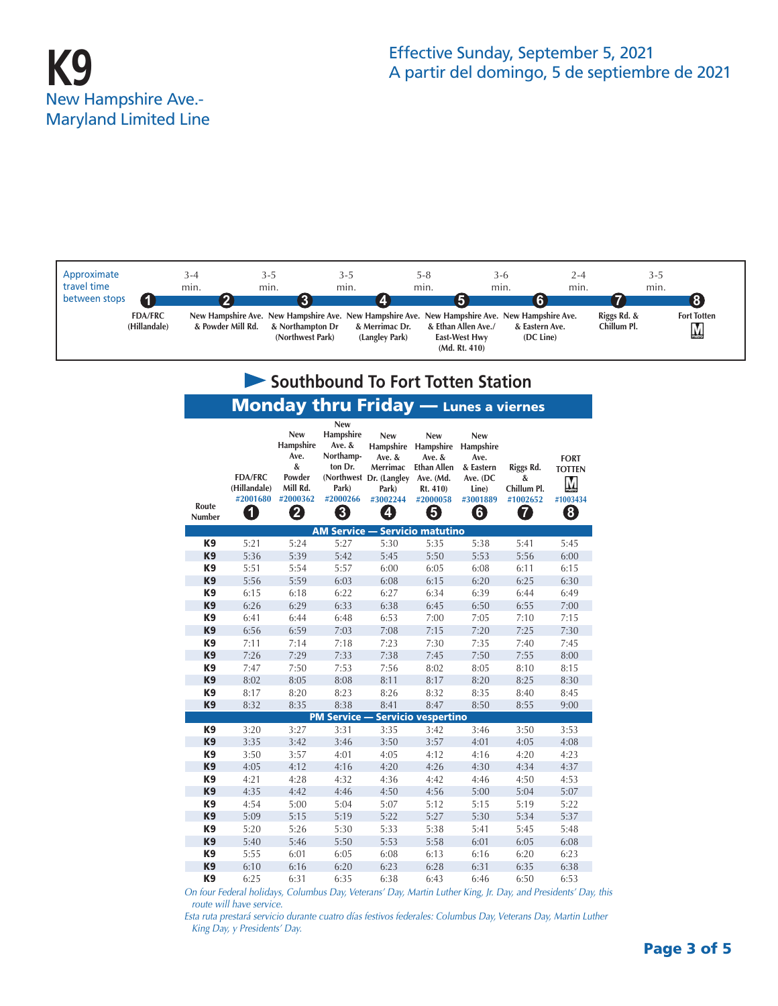

| Southbound To Fort Totten Station           |                                                 |                                                                             |                                                                                     |                                                                                                    |                                                                                                    |                                                                                    |                                                |                                                    |  |  |  |  |
|---------------------------------------------|-------------------------------------------------|-----------------------------------------------------------------------------|-------------------------------------------------------------------------------------|----------------------------------------------------------------------------------------------------|----------------------------------------------------------------------------------------------------|------------------------------------------------------------------------------------|------------------------------------------------|----------------------------------------------------|--|--|--|--|
| <b>Monday thru Friday</b> - Lunes a viernes |                                                 |                                                                             |                                                                                     |                                                                                                    |                                                                                                    |                                                                                    |                                                |                                                    |  |  |  |  |
| Route<br>Number                             | <b>FDA/FRC</b><br>(Hillandale)<br>#2001680<br>1 | <b>New</b><br>Hampshire<br>Ave.<br>&<br>Powder<br>Mill Rd.<br>#2000362<br>2 | <b>New</b><br>Hampshire<br>Ave. &<br>Northamp-<br>ton Dr.<br>Park)<br>#2000266<br>3 | <b>New</b><br>Hampshire<br>Ave. &<br>Merrimac<br>(Northwest Dr. (Langley<br>Park)<br>#3002244<br>4 | <b>New</b><br>Hampshire<br>Ave. &<br><b>Ethan Allen</b><br>Ave. (Md.<br>Rt. 410)<br>#2000058<br>5) | <b>New</b><br>Hampshire<br>Ave.<br>& Eastern<br>Ave. (DC<br>Line)<br>#3001889<br>6 | Riggs Rd.<br>&<br>Chillum Pl.<br>#1002652<br>7 | <b>FORT</b><br><b>TOTTEN</b><br>Μ<br>#1003434<br>8 |  |  |  |  |
|                                             |                                                 |                                                                             |                                                                                     | <b>AM Service - Servicio matutino</b>                                                              |                                                                                                    |                                                                                    |                                                |                                                    |  |  |  |  |
| K9                                          | 5:21                                            | 5:24                                                                        | 5:27                                                                                | 5:30                                                                                               | 5:35                                                                                               | 5:38                                                                               | 5:41                                           | 5:45                                               |  |  |  |  |
| K <sub>9</sub>                              | 5:36                                            | 5:39                                                                        | 5:42                                                                                | 5:45                                                                                               | 5:50                                                                                               | 5:53                                                                               | 5:56                                           | 6:00                                               |  |  |  |  |
| K <sub>9</sub>                              | 5:51                                            | 5:54                                                                        | 5:57                                                                                | 6:00                                                                                               | 6:05                                                                                               | 6:08                                                                               | 6:11                                           | 6:15                                               |  |  |  |  |
| K <sub>9</sub>                              | 5:56                                            | 5:59                                                                        | 6:03                                                                                | 6:08                                                                                               | 6:15                                                                                               | 6:20                                                                               | 6:25                                           | 6:30                                               |  |  |  |  |
| K <sub>9</sub>                              | 6:15                                            | 6:18                                                                        | 6:22                                                                                | 6:27                                                                                               | 6:34                                                                                               | 6:39                                                                               | 6:44                                           | 6:49                                               |  |  |  |  |
| K <sub>9</sub>                              | 6:26                                            | 6:29                                                                        | 6:33                                                                                | 6:38                                                                                               | 6:45                                                                                               | 6:50                                                                               | 6:55                                           | 7:00                                               |  |  |  |  |
| K <sub>9</sub>                              | 6:41                                            | 6:44                                                                        | 6:48                                                                                | 6:53                                                                                               | 7:00                                                                                               | 7:05                                                                               | 7:10                                           | 7:15                                               |  |  |  |  |
| K <sub>9</sub>                              | 6:56                                            | 6:59                                                                        | 7:03                                                                                | 7:08                                                                                               | 7:15                                                                                               | 7:20                                                                               | 7:25                                           | 7:30                                               |  |  |  |  |
| K <sub>9</sub>                              | 7:11                                            | 7:14                                                                        | 7:18                                                                                | 7:23                                                                                               | 7:30                                                                                               | 7:35                                                                               | 7:40                                           | 7:45                                               |  |  |  |  |
| K <sub>9</sub>                              | 7:26                                            | 7:29                                                                        | 7:33                                                                                | 7:38                                                                                               | 7:45                                                                                               | 7:50                                                                               | 7:55                                           | 8:00                                               |  |  |  |  |
| K <sub>9</sub>                              | 7:47                                            | 7:50                                                                        | 7:53                                                                                | 7:56                                                                                               | 8:02                                                                                               | 8:05                                                                               | 8:10                                           | 8:15                                               |  |  |  |  |
| K <sub>9</sub>                              | 8:02                                            | 8:05                                                                        | 8:08                                                                                | 8:11                                                                                               | 8:17                                                                                               | 8:20                                                                               | 8:25                                           | 8:30                                               |  |  |  |  |
| K <sub>9</sub>                              | 8:17                                            | 8:20                                                                        | 8:23                                                                                | 8:26                                                                                               | 8:32                                                                                               | 8:35                                                                               | 8:40                                           | 8:45                                               |  |  |  |  |
| K <sub>9</sub>                              | 8:32                                            | 8:35                                                                        | 8:38<br><b>PM Service -</b>                                                         | 8:41                                                                                               | 8:47                                                                                               | 8:50                                                                               | 8:55                                           | 9:00                                               |  |  |  |  |
| K <sub>9</sub>                              | 3:20                                            | 3:27                                                                        | 3:31                                                                                | 3:35                                                                                               | <b>Servicio vespertino</b><br>3:42                                                                 | 3:46                                                                               | 3:50                                           | 3:53                                               |  |  |  |  |
| K <sub>9</sub>                              | 3:35                                            | 3:42                                                                        | 3:46                                                                                | 3:50                                                                                               | 3:57                                                                                               | 4:01                                                                               | 4:05                                           | 4:08                                               |  |  |  |  |
| K <sub>9</sub>                              | 3:50                                            | 3:57                                                                        | 4:01                                                                                | 4:05                                                                                               | 4:12                                                                                               | 4:16                                                                               | 4:20                                           | 4:23                                               |  |  |  |  |
| K <sub>9</sub>                              | 4:05                                            | 4:12                                                                        | 4:16                                                                                | 4:20                                                                                               | 4:26                                                                                               | 4:30                                                                               | 4:34                                           | 4:37                                               |  |  |  |  |
| K9                                          | 4:21                                            | 4:28                                                                        | 4:32                                                                                | 4:36                                                                                               | 4:42                                                                                               | 4:46                                                                               | 4:50                                           | 4:53                                               |  |  |  |  |
| K <sub>9</sub>                              | 4:35                                            | 4:42                                                                        | 4:46                                                                                | 4:50                                                                                               | 4:56                                                                                               | 5:00                                                                               | 5:04                                           | 5:07                                               |  |  |  |  |
| K <sub>9</sub>                              | 4:54                                            | 5:00                                                                        | 5:04                                                                                | 5:07                                                                                               | 5:12                                                                                               | 5:15                                                                               | 5:19                                           | 5:22                                               |  |  |  |  |
| K <sub>9</sub>                              | 5:09                                            | 5:15                                                                        | 5:19                                                                                | 5:22                                                                                               | 5:27                                                                                               | 5:30                                                                               | 5:34                                           | 5:37                                               |  |  |  |  |
| K9                                          | 5:20                                            | 5:26                                                                        | 5:30                                                                                | 5:33                                                                                               | 5:38                                                                                               | 5:41                                                                               | 5:45                                           | 5:48                                               |  |  |  |  |
| K <sub>9</sub>                              | 5:40                                            | 5:46                                                                        | 5:50                                                                                | 5:53                                                                                               | 5:58                                                                                               | 6:01                                                                               | 6:05                                           | 6:08                                               |  |  |  |  |
| K9                                          | 5:55                                            | 6:01                                                                        | 6:05                                                                                | 6:08                                                                                               | 6:13                                                                                               | 6:16                                                                               | 6:20                                           | 6:23                                               |  |  |  |  |
| K <sub>9</sub>                              | 6:10                                            | 6:16                                                                        | 6:20                                                                                | 6:23                                                                                               | 6:28                                                                                               | 6:31                                                                               | 6:35                                           | 6:38                                               |  |  |  |  |
| K <sub>9</sub>                              | 6:25                                            | 6:31                                                                        | 6:35                                                                                | 6:38                                                                                               | 6:43                                                                                               | 6:46                                                                               | 6:50                                           | 6:53                                               |  |  |  |  |

*On four Federal holidays, Columbus Day, Veterans' Day, Martin Luther King, Jr. Day, and Presidents' Day, this route will have service.*

*Esta ruta prestará servicio durante cuatro días festivos federales: Columbus Day, Veterans Day, Martin Luther King Day, y Presidents' Day.*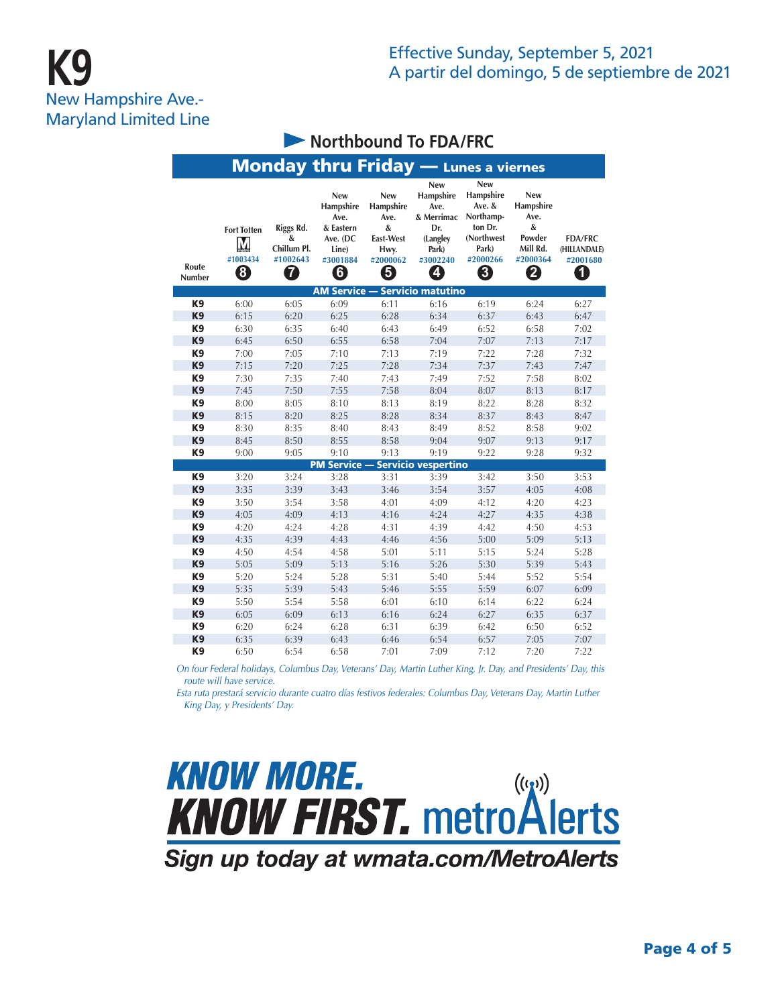# **K9** New Hampshire Ave.- Maryland Limited Line

|                 |                                          |                                                |                                                                                           |                                                                            | <b>Monday thru Friday</b> - Lunes a viernes                                                |                                                                                                   |                                                                             |                                                 |
|-----------------|------------------------------------------|------------------------------------------------|-------------------------------------------------------------------------------------------|----------------------------------------------------------------------------|--------------------------------------------------------------------------------------------|---------------------------------------------------------------------------------------------------|-----------------------------------------------------------------------------|-------------------------------------------------|
| Route<br>Number | <b>Fort Totten</b><br>Μ<br>#1003434<br>0 | Riggs Rd.<br>&<br>Chillum Pl.<br>#1002643<br>7 | <b>New</b><br><b>Hampshire</b><br>Ave.<br>& Eastern<br>Ave. (DC<br>Line)<br>#3001884<br>0 | <b>New</b><br>Hampshire<br>Ave.<br>&<br>East-West<br>Hwy.<br>#2000062<br>5 | <b>New</b><br>Hampshire<br>Ave.<br>& Merrimac<br>Dr.<br>(Langley<br>Park)<br>#3002240<br>4 | <b>New</b><br>Hampshire<br>Ave. &<br>Northamp-<br>ton Dr.<br>(Northwest<br>Park)<br>#2000266<br>0 | <b>New</b><br>Hampshire<br>Ave.<br>&<br>Powder<br>Mill Rd.<br>#2000364<br>2 | <b>FDA/FRC</b><br>(HILLANDALE)<br>#2001680<br>0 |
|                 |                                          |                                                |                                                                                           |                                                                            | <b>AM Service - Servicio matutino</b>                                                      |                                                                                                   |                                                                             |                                                 |
| K <sub>9</sub>  | 6:00                                     | 6:05                                           | 6:09                                                                                      | 6:11                                                                       | 6:16                                                                                       | 6:19                                                                                              | 6:24                                                                        | 6:27                                            |
| K <sub>9</sub>  | 6:15                                     | 6:20                                           | 6:25                                                                                      | 6:28                                                                       | 6:34                                                                                       | 6:37                                                                                              | 6:43                                                                        | 6:47                                            |
| K9              | 6:30                                     | 6:35                                           | 6:40                                                                                      | 6:43                                                                       | 6:49                                                                                       | 6:52                                                                                              | 6:58                                                                        | 7:02                                            |
| K <sub>9</sub>  | 6:45                                     | 6:50                                           | 6:55                                                                                      | 6:58                                                                       | 7:04                                                                                       | 7:07                                                                                              | 7:13                                                                        | 7:17                                            |
| K <sub>9</sub>  | 7:00                                     | 7:05                                           | 7:10                                                                                      | 7:13                                                                       | 7:19                                                                                       | 7:22                                                                                              | 7:28                                                                        | 7:32                                            |
| K <sub>9</sub>  | 7:15                                     | 7:20                                           | 7:25                                                                                      | 7:28                                                                       | 7:34                                                                                       | 7:37                                                                                              | 7:43                                                                        | 7:47                                            |
| K9              | 7:30                                     | 7:35                                           | 7:40                                                                                      | 7:43                                                                       | 7:49                                                                                       | 7:52                                                                                              | 7:58                                                                        | 8:02                                            |
| K <sub>9</sub>  | 7:45                                     | 7:50                                           | 7:55                                                                                      | 7:58                                                                       | 8:04                                                                                       | 8:07                                                                                              | 8:13                                                                        | 8:17                                            |
| K <sub>9</sub>  | 8:00                                     | 8:05                                           | 8:10                                                                                      | 8:13                                                                       | 8:19                                                                                       | 8:22                                                                                              | 8:28                                                                        | 8:32                                            |
| K <sub>9</sub>  | 8:15                                     | 8:20                                           | 8:25                                                                                      | 8:28                                                                       | 8:34                                                                                       | 8:37                                                                                              | 8:43                                                                        | 8:47                                            |
| K9              | 8:30                                     | 8:35                                           | 8:40                                                                                      | 8:43                                                                       | 8:49                                                                                       | 8:52                                                                                              | 8:58                                                                        | 9:02                                            |
| K <sub>9</sub>  | 8:45                                     | 8:50                                           | 8:55                                                                                      | 8:58                                                                       | 9:04                                                                                       | 9:07                                                                                              | 9:13                                                                        | 9:17                                            |
| K <sub>9</sub>  | 9:00                                     | 9:05                                           | 9:10                                                                                      | 9:13                                                                       | 9:19                                                                                       | 9:22                                                                                              | 9:28                                                                        | 9:32                                            |
|                 |                                          |                                                | <b>PM Service -</b>                                                                       |                                                                            | <b>Servicio vespertino</b>                                                                 |                                                                                                   |                                                                             |                                                 |
| K <sub>9</sub>  | 3:20                                     | 3:24                                           | 3:28                                                                                      | 3:31                                                                       | 3:39                                                                                       | 3:42                                                                                              | 3:50                                                                        | 3:53                                            |
| K <sub>9</sub>  | 3:35                                     | 3:39                                           | 3:43                                                                                      | 3:46                                                                       | 3:54                                                                                       | 3:57                                                                                              | 4:05                                                                        | 4:08                                            |
| K9              | 3:50                                     | 3:54                                           | 3:58                                                                                      | 4:01                                                                       | 4:09                                                                                       | 4:12                                                                                              | 4:20                                                                        | 4:23                                            |
| K <sub>9</sub>  | 4:05                                     | 4:09                                           | 4:13                                                                                      | 4:16                                                                       | 4:24                                                                                       | 4:27                                                                                              | 4:35                                                                        | 4:38                                            |
| K <sub>9</sub>  | 4:20                                     | 4:24                                           | 4:28                                                                                      | 4:31                                                                       | 4:39                                                                                       | 4:42                                                                                              | 4:50                                                                        | 4:53                                            |
| K <sub>9</sub>  | 4:35                                     | 4:39                                           | 4:43                                                                                      | 4:46                                                                       | 4:56                                                                                       | 5:00                                                                                              | 5:09                                                                        | 5:13                                            |
| K9              | 4:50                                     | 4:54                                           | 4:58                                                                                      | 5:01                                                                       | 5:11                                                                                       | 5:15                                                                                              | 5:24                                                                        | 5:28                                            |
| K <sub>9</sub>  | 5:05                                     | 5:09                                           | 5:13                                                                                      | 5:16                                                                       | 5:26                                                                                       | 5:30                                                                                              | 5:39                                                                        | 5:43                                            |
| K <sub>9</sub>  | 5:20                                     | 5:24                                           | 5:28                                                                                      | 5:31                                                                       | 5:40                                                                                       | 5:44                                                                                              | 5:52                                                                        | 5:54                                            |
| K <sub>9</sub>  | 5:35                                     | 5:39                                           | 5:43                                                                                      | 5:46                                                                       | 5:55                                                                                       | 5:59                                                                                              | 6:07                                                                        | 6:09                                            |
| K9              | 5:50                                     | 5:54                                           | 5:58                                                                                      | 6:01                                                                       | 6:10                                                                                       | 6:14                                                                                              | 6:22                                                                        | 6:24                                            |
| K <sub>9</sub>  | 6:05                                     | 6:09                                           | 6:13                                                                                      | 6:16                                                                       | 6:24                                                                                       | 6:27                                                                                              | 6:35                                                                        | 6:37                                            |
| K <sub>9</sub>  | 6:20                                     | 6:24                                           | 6:28                                                                                      | 6:31                                                                       | 6:39                                                                                       | 6:42                                                                                              | 6:50                                                                        | 6:52                                            |
| K <sub>9</sub>  | 6:35                                     | 6:39                                           | 6:43                                                                                      | 6:46                                                                       | 6:54                                                                                       | 6:57                                                                                              | 7:05                                                                        | 7:07                                            |
| K <sub>9</sub>  | 6:50                                     | 6:54                                           | 6:58                                                                                      | 7:01                                                                       | 7:09                                                                                       | 7:12                                                                                              | 7:20                                                                        | 7:22                                            |

**Northbound To FDA/FRC** 

*On four Federal holidays, Columbus Day, Veterans' Day, Martin Luther King, Jr. Day, and Presidents' Day, this route will have service.*

*Esta ruta prestará servicio durante cuatro días festivos federales: Columbus Day, Veterans Day, Martin Luther King Day, y Presidents' Day.*



Sign up today at wmata.com/MetroAlerts